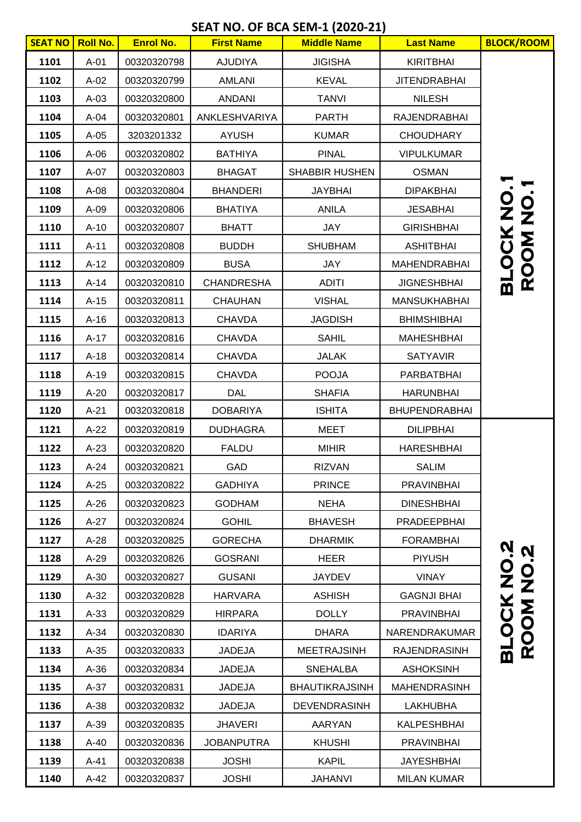## **SEAT NO. OF BCA SEM-1 (2020-21)**

| <b>SEAT NO</b> | <b>Roll No.</b> | <b>Enrol No.</b> | <b>First Name</b> | <b>Middle Name</b>    | <b>Last Name</b>     | <b>BLOCK/ROOM</b>              |
|----------------|-----------------|------------------|-------------------|-----------------------|----------------------|--------------------------------|
| 1101           | $A-01$          | 00320320798      | <b>AJUDIYA</b>    | <b>JIGISHA</b>        | <b>KIRITBHAI</b>     |                                |
| 1102           | $A-02$          | 00320320799      | <b>AMLANI</b>     | <b>KEVAL</b>          | <b>JITENDRABHAI</b>  |                                |
| 1103           | $A-03$          | 00320320800      | <b>ANDANI</b>     | <b>TANVI</b>          | <b>NILESH</b>        |                                |
| 1104           | A-04            | 00320320801      | ANKLESHVARIYA     | <b>PARTH</b>          | <b>RAJENDRABHAI</b>  |                                |
| 1105           | $A-05$          | 3203201332       | <b>AYUSH</b>      | <b>KUMAR</b>          | <b>CHOUDHARY</b>     |                                |
| 1106           | $A-06$          | 00320320802      | <b>BATHIYA</b>    | <b>PINAL</b>          | <b>VIPULKUMAR</b>    |                                |
| 1107           | $A-07$          | 00320320803      | <b>BHAGAT</b>     | <b>SHABBIR HUSHEN</b> | <b>OSMAN</b>         |                                |
| 1108           | $A-08$          | 00320320804      | <b>BHANDERI</b>   | <b>JAYBHAI</b>        | <b>DIPAKBHAI</b>     |                                |
| 1109           | $A-09$          | 00320320806      | <b>BHATIYA</b>    | <b>ANILA</b>          | <b>JESABHAI</b>      | <b>BLOCK NO.<br/>ROOM NO.</b>  |
| 1110           | $A-10$          | 00320320807      | <b>BHATT</b>      | JAY                   | <b>GIRISHBHAI</b>    |                                |
| 1111           | $A-11$          | 00320320808      | <b>BUDDH</b>      | <b>SHUBHAM</b>        | <b>ASHITBHAI</b>     |                                |
| 1112           | $A-12$          | 00320320809      | <b>BUSA</b>       | <b>JAY</b>            | MAHENDRABHAI         |                                |
| 1113           | $A-14$          | 00320320810      | <b>CHANDRESHA</b> | <b>ADITI</b>          | <b>JIGNESHBHAI</b>   |                                |
| 1114           | $A-15$          | 00320320811      | <b>CHAUHAN</b>    | <b>VISHAL</b>         | <b>MANSUKHABHAI</b>  |                                |
| 1115           | $A-16$          | 00320320813      | <b>CHAVDA</b>     | <b>JAGDISH</b>        | <b>BHIMSHIBHAI</b>   |                                |
| 1116           | $A-17$          | 00320320816      | <b>CHAVDA</b>     | <b>SAHIL</b>          | <b>MAHESHBHAI</b>    |                                |
| 1117           | $A-18$          | 00320320814      | <b>CHAVDA</b>     | <b>JALAK</b>          | <b>SATYAVIR</b>      |                                |
| 1118           | $A-19$          | 00320320815      | <b>CHAVDA</b>     | <b>POOJA</b>          | PARBATBHAI           |                                |
| 1119           | $A-20$          | 00320320817      | <b>DAL</b>        | <b>SHAFIA</b>         | <b>HARUNBHAI</b>     |                                |
| 1120           | $A-21$          | 00320320818      | <b>DOBARIYA</b>   | <b>ISHITA</b>         | <b>BHUPENDRABHAI</b> |                                |
| 1121           | $A-22$          | 00320320819      | <b>DUDHAGRA</b>   | <b>MEET</b>           | <b>DILIPBHAI</b>     |                                |
| 1122           | $A-23$          | 00320320820      | <b>FALDU</b>      | <b>MIHIR</b>          | <b>HARESHBHAI</b>    |                                |
| 1123           | A-24            | 00320320821      | GAD               | <b>RIZVAN</b>         | SALIM                |                                |
| 1124           | $A-25$          | 00320320822      | <b>GADHIYA</b>    | <b>PRINCE</b>         | <b>PRAVINBHAI</b>    |                                |
| 1125           | $A-26$          | 00320320823      | <b>GODHAM</b>     | <b>NEHA</b>           | <b>DINESHBHAI</b>    |                                |
| 1126           | $A-27$          | 00320320824      | <b>GOHIL</b>      | <b>BHAVESH</b>        | <b>PRADEEPBHAI</b>   |                                |
| 1127           | $A-28$          | 00320320825      | <b>GORECHA</b>    | <b>DHARMIK</b>        | <b>FORAMBHAI</b>     | Ń.                             |
| 1128           | $A-29$          | 00320320826      | <b>GOSRANI</b>    | <b>HEER</b>           | <b>PIYUSH</b>        | $\boldsymbol{\mathsf{N}}$      |
| 1129           | $A-30$          | 00320320827      | <b>GUSANI</b>     | <b>JAYDEV</b>         | <b>VINAY</b>         |                                |
| 1130           | $A-32$          | 00320320828      | <b>HARVARA</b>    | <b>ASHISH</b>         | <b>GAGNJI BHAI</b>   |                                |
| 1131           | $A-33$          | 00320320829      | <b>HIRPARA</b>    | <b>DOLLY</b>          | <b>PRAVINBHAI</b>    |                                |
| 1132           | $A-34$          | 00320320830      | <b>IDARIYA</b>    | <b>DHARA</b>          | NARENDRAKUMAR        | <b>BLOCK NO.<br/>ROOM NO.:</b> |
| 1133           | $A-35$          | 00320320833      | <b>JADEJA</b>     | <b>MEETRAJSINH</b>    | RAJENDRASINH         |                                |
| 1134           | $A-36$          | 00320320834      | <b>JADEJA</b>     | <b>SNEHALBA</b>       | <b>ASHOKSINH</b>     |                                |
| 1135           | $A-37$          | 00320320831      | <b>JADEJA</b>     | <b>BHAUTIKRAJSINH</b> | <b>MAHENDRASINH</b>  |                                |
| 1136           | $A-38$          | 00320320832      | <b>JADEJA</b>     | <b>DEVENDRASINH</b>   | <b>LAKHUBHA</b>      |                                |
| 1137           | $A-39$          | 00320320835      | <b>JHAVERI</b>    | <b>AARYAN</b>         | <b>KALPESHBHAI</b>   |                                |
| 1138           | $A-40$          | 00320320836      | <b>JOBANPUTRA</b> | <b>KHUSHI</b>         | <b>PRAVINBHAI</b>    |                                |
| 1139           | $A-41$          | 00320320838      | <b>JOSHI</b>      | <b>KAPIL</b>          | <b>JAYESHBHAI</b>    |                                |
| 1140           | $A-42$          | 00320320837      | <b>JOSHI</b>      | <b>JAHANVI</b>        | <b>MILAN KUMAR</b>   |                                |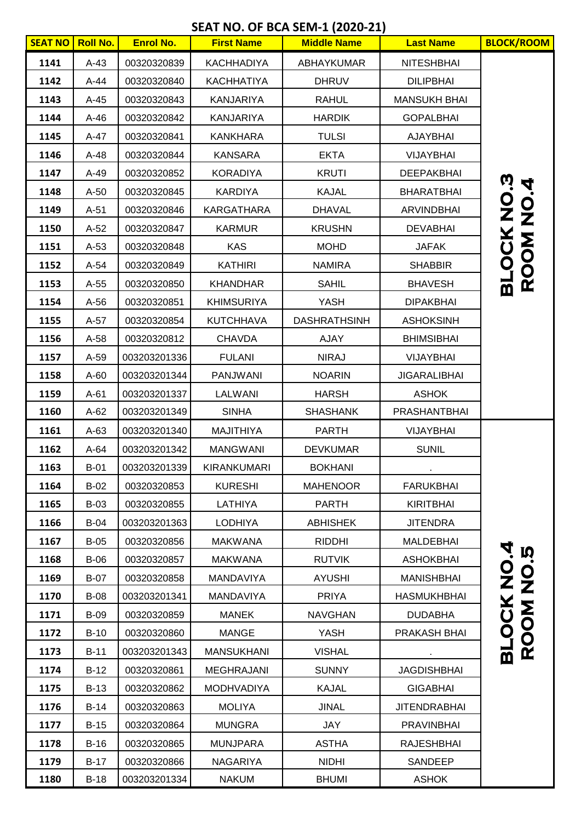## **SEAT NO. OF BCA SEM-1 (2020-21)**

| <b>SEAT NO</b> | <b>Roll No.</b> | <b>Enrol No.</b> | <b>First Name</b> | <b>Middle Name</b>  | <b>Last Name</b>    | <b>BLOCK/ROOM</b>              |
|----------------|-----------------|------------------|-------------------|---------------------|---------------------|--------------------------------|
| 1141           | $A-43$          | 00320320839      | <b>KACHHADIYA</b> | ABHAYKUMAR          | <b>NITESHBHAI</b>   |                                |
| 1142           | $A-44$          | 00320320840      | <b>KACHHATIYA</b> | <b>DHRUV</b>        | <b>DILIPBHAI</b>    |                                |
| 1143           | $A-45$          | 00320320843      | <b>KANJARIYA</b>  | <b>RAHUL</b>        | <b>MANSUKH BHAI</b> |                                |
| 1144           | $A-46$          | 00320320842      | <b>KANJARIYA</b>  | <b>HARDIK</b>       | <b>GOPALBHAI</b>    |                                |
| 1145           | $A-47$          | 00320320841      | <b>KANKHARA</b>   | <b>TULSI</b>        | <b>AJAYBHAI</b>     |                                |
| 1146           | $A-48$          | 00320320844      | <b>KANSARA</b>    | <b>EKTA</b>         | VIJAYBHAI           |                                |
| 1147           | $A-49$          | 00320320852      | <b>KORADIYA</b>   | <b>KRUTI</b>        | <b>DEEPAKBHAI</b>   |                                |
| 1148           | $A-50$          | 00320320845      | <b>KARDIYA</b>    | <b>KAJAL</b>        | <b>BHARATBHAI</b>   | <u>ທີ່</u>                     |
| 1149           | $A-51$          | 00320320846      | <b>KARGATHARA</b> | <b>DHAVAL</b>       | <b>ARVINDBHAI</b>   | <b>BLOCK NO.<br/>ROOM NO.4</b> |
| 1150           | $A-52$          | 00320320847      | <b>KARMUR</b>     | <b>KRUSHN</b>       | <b>DEVABHAI</b>     |                                |
| 1151           | $A-53$          | 00320320848      | <b>KAS</b>        | <b>MOHD</b>         | <b>JAFAK</b>        |                                |
| 1152           | $A-54$          | 00320320849      | <b>KATHIRI</b>    | <b>NAMIRA</b>       | <b>SHABBIR</b>      |                                |
| 1153           | $A-55$          | 00320320850      | <b>KHANDHAR</b>   | <b>SAHIL</b>        | <b>BHAVESH</b>      |                                |
| 1154           | $A-56$          | 00320320851      | <b>KHIMSURIYA</b> | <b>YASH</b>         | <b>DIPAKBHAI</b>    |                                |
| 1155           | A-57            | 00320320854      | <b>KUTCHHAVA</b>  | <b>DASHRATHSINH</b> | <b>ASHOKSINH</b>    |                                |
| 1156           | $A-58$          | 00320320812      | <b>CHAVDA</b>     | <b>AJAY</b>         | <b>BHIMSIBHAI</b>   |                                |
| 1157           | A-59            | 003203201336     | <b>FULANI</b>     | <b>NIRAJ</b>        | VIJAYBHAI           |                                |
| 1158           | $A-60$          | 003203201344     | <b>PANJWANI</b>   | <b>NOARIN</b>       | <b>JIGARALIBHAI</b> |                                |
| 1159           | $A-61$          | 003203201337     | LALWANI           | <b>HARSH</b>        | <b>ASHOK</b>        |                                |
| 1160           | $A-62$          | 003203201349     | <b>SINHA</b>      | <b>SHASHANK</b>     | PRASHANTBHAI        |                                |
| 1161           | $A-63$          | 003203201340     | <b>MAJITHIYA</b>  | <b>PARTH</b>        | VIJAYBHAI           |                                |
| 1162           | $A-64$          | 003203201342     | <b>MANGWANI</b>   | <b>DEVKUMAR</b>     | <b>SUNIL</b>        |                                |
| 1163           | $B-01$          | 003203201339     | KIRANKUMARI       | <b>BOKHANI</b>      |                     |                                |
| 1164           | $B-02$          | 00320320853      | <b>KURESHI</b>    | <b>MAHENOOR</b>     | FARUKBHAI           |                                |
| 1165           | $B-03$          | 00320320855      | LATHIYA           | <b>PARTH</b>        | <b>KIRITBHAI</b>    |                                |
| 1166           | $B-04$          | 003203201363     | <b>LODHIYA</b>    | <b>ABHISHEK</b>     | <b>JITENDRA</b>     |                                |
| 1167           | $B-05$          | 00320320856      | <b>MAKWANA</b>    | <b>RIDDHI</b>       | MALDEBHAI           | À.                             |
| 1168           | $B-06$          | 00320320857      | <b>MAKWANA</b>    | <b>RUTVIK</b>       | <b>ASHOKBHAI</b>    | Ŋ                              |
| 1169           | $B-07$          | 00320320858      | MANDAVIYA         | <b>AYUSHI</b>       | <b>MANISHBHAI</b>   |                                |
| 1170           | <b>B-08</b>     | 003203201341     | MANDAVIYA         | <b>PRIYA</b>        | <b>HASMUKHBHAI</b>  |                                |
| 1171           | <b>B-09</b>     | 00320320859      | <b>MANEK</b>      | <b>NAVGHAN</b>      | <b>DUDABHA</b>      | <b>BLOCK NO.<br/>ROOM NO.!</b> |
| 1172           | $B-10$          | 00320320860      | <b>MANGE</b>      | <b>YASH</b>         | PRAKASH BHAI        |                                |
| 1173           | $B-11$          | 003203201343     | <b>MANSUKHANI</b> | <b>VISHAL</b>       |                     |                                |
| 1174           | $B-12$          | 00320320861      | <b>MEGHRAJANI</b> | <b>SUNNY</b>        | <b>JAGDISHBHAI</b>  |                                |
| 1175           | $B-13$          | 00320320862      | <b>MODHVADIYA</b> | <b>KAJAL</b>        | <b>GIGABHAI</b>     |                                |
| 1176           | $B-14$          | 00320320863      | <b>MOLIYA</b>     | <b>JINAL</b>        | <b>JITENDRABHAI</b> |                                |
| 1177           | $B-15$          | 00320320864      | <b>MUNGRA</b>     | JAY                 | <b>PRAVINBHAI</b>   |                                |
| 1178           | $B-16$          | 00320320865      | <b>MUNJPARA</b>   | <b>ASTHA</b>        | <b>RAJESHBHAI</b>   |                                |
| 1179           | $B-17$          | 00320320866      | <b>NAGARIYA</b>   | <b>NIDHI</b>        | SANDEEP             |                                |
| 1180           | $B-18$          | 003203201334     | <b>NAKUM</b>      | <b>BHUMI</b>        | <b>ASHOK</b>        |                                |